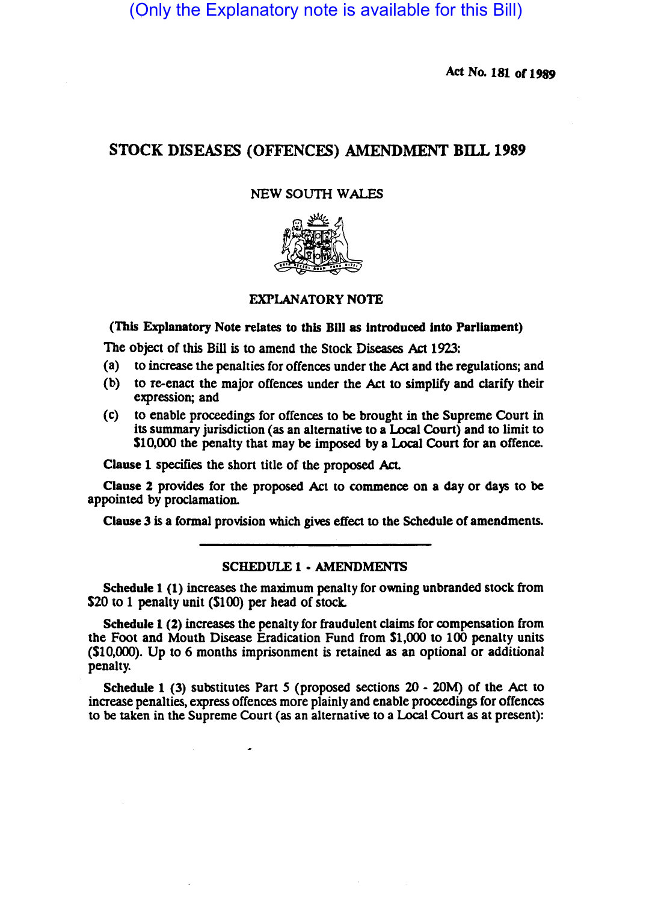(Only the Explanatory note is available for this Bill)

Act No. 181 *011989* 

# STOCK DISEASES (OFFENCES) AMENDMENT BILL 1989

## NEW SOUTH WALES



#### EXPLANATORY NOTE

### (This Explanatory Note relates to this Bill as introduced into Parliament)

The object of this Bill is to amend the Stock Diseases Act 1923:

- (a) to increase the penalties for offences under the Act and the regulations; and
- (b) to re-enact the major offences under the Act to simplify and clarify their expression; and
- (c) to enable proceedings for offences to be brought in the Supreme Court in its summary jurisdiction (as an alternative to a Local Coun) and to limit to S10,OOO the penalty that may be imposed by a Local Coun for an offence.

Clause 1 specifies the short title of the proposed Act.

Cllause 2 provides for the proposed Act to commence on a day or days to be appointed by proclamation.

Clause 3 is a formal provision which gives effect to the Schedule of amendments.

## SCHEDULE 1 • AMENDMENTS

Schedule 1 (1) increases the maximum penalty for owning unbranded stock from \$20 to 1 penalty unit (\$100) per head of stock.

Schedule 1 (2) increases the penalty for fraudulent claims for compensation from the Foot and Mouth Disease Eradication Fund from \$1,000 to 100 penalty units (SIO,OOO). Up to 6 months imprisonment is retained as an optional or additional penalty.

Schedule 1 (3) substitutes Part 5 (proposed sections 20 - 20M) of the Act to increase penalties, express offences more plainly and enable proceedings for offences to be taken in the Supreme Court (as an alternative to a Local Court as at present):